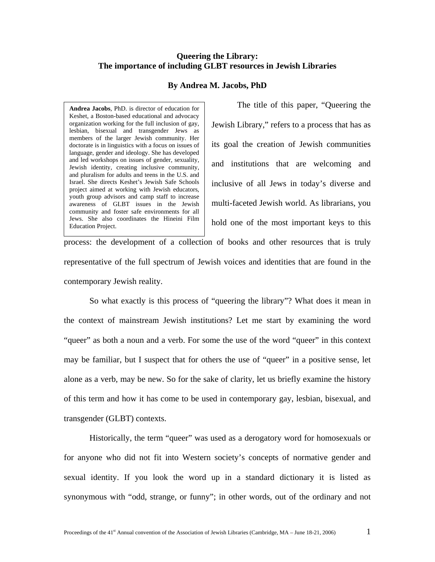## **Queering the Library: The importance of including GLBT resources in Jewish Libraries**

## **By Andrea M. Jacobs, PhD**

**Andrea Jacobs**, PhD. is director of education for Keshet, a Boston-based educational and advocacy organization working for the full inclusion of gay, lesbian, bisexual and transgender Jews as members of the larger Jewish community. Her doctorate is in linguistics with a focus on issues of language, gender and ideology. She has developed and led workshops on issues of gender, sexuality, Jewish identity, creating inclusive community, and pluralism for adults and teens in the U.S. and Israel. She directs Keshet's Jewish Safe Schools project aimed at working with Jewish educators, youth group advisors and camp staff to increase awareness of GLBT issues in the Jewish community and foster safe environments for all Jews. She also coordinates the Hineini Film Education Project.

The title of this paper, "Queering the Jewish Library," refers to a process that has as its goal the creation of Jewish communities and institutions that are welcoming and inclusive of all Jews in today's diverse and multi-faceted Jewish world. As librarians, you hold one of the most important keys to this

process: the development of a collection of books and other resources that is truly representative of the full spectrum of Jewish voices and identities that are found in the contemporary Jewish reality.

So what exactly is this process of "queering the library"? What does it mean in the context of mainstream Jewish institutions? Let me start by examining the word "queer" as both a noun and a verb. For some the use of the word "queer" in this context may be familiar, but I suspect that for others the use of "queer" in a positive sense, let alone as a verb, may be new. So for the sake of clarity, let us briefly examine the history of this term and how it has come to be used in contemporary gay, lesbian, bisexual, and transgender (GLBT) contexts.

Historically, the term "queer" was used as a derogatory word for homosexuals or for anyone who did not fit into Western society's concepts of normative gender and sexual identity. If you look the word up in a standard dictionary it is listed as synonymous with "odd, strange, or funny"; in other words, out of the ordinary and not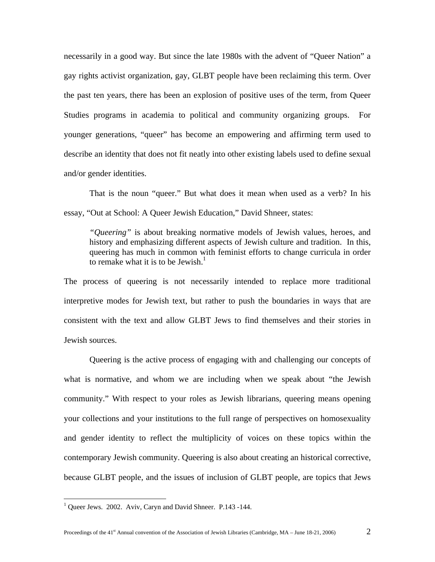necessarily in a good way. But since the late 1980s with the advent of "Queer Nation" a gay rights activist organization, gay, GLBT people have been reclaiming this term. Over the past ten years, there has been an explosion of positive uses of the term, from Queer Studies programs in academia to political and community organizing groups. For younger generations, "queer" has become an empowering and affirming term used to describe an identity that does not fit neatly into other existing labels used to define sexual and/or gender identities.

That is the noun "queer." But what does it mean when used as a verb? In his essay, "Out at School: A Queer Jewish Education," David Shneer, states:

*"Queering"* is about breaking normative models of Jewish values, heroes, and history and emphasizing different aspects of Jewish culture and tradition. In this, queering has much in common with feminist efforts to change curricula in order to remake what it is to be Jewish.<sup>[1](#page-1-0)</sup>

The process of queering is not necessarily intended to replace more traditional interpretive modes for Jewish text, but rather to push the boundaries in ways that are consistent with the text and allow GLBT Jews to find themselves and their stories in Jewish sources.

Queering is the active process of engaging with and challenging our concepts of what is normative, and whom we are including when we speak about "the Jewish community." With respect to your roles as Jewish librarians, queering means opening your collections and your institutions to the full range of perspectives on homosexuality and gender identity to reflect the multiplicity of voices on these topics within the contemporary Jewish community. Queering is also about creating an historical corrective, because GLBT people, and the issues of inclusion of GLBT people, are topics that Jews

<u>.</u>

<span id="page-1-0"></span><sup>&</sup>lt;sup>1</sup> Queer Jews. 2002. Aviv, Caryn and David Shneer. P.143 -144.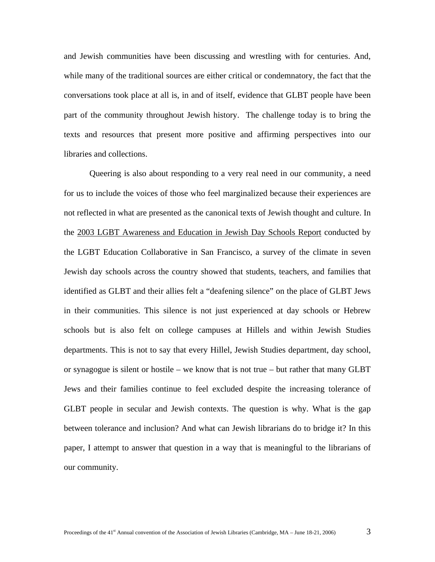and Jewish communities have been discussing and wrestling with for centuries. And, while many of the traditional sources are either critical or condemnatory, the fact that the conversations took place at all is, in and of itself, evidence that GLBT people have been part of the community throughout Jewish history. The challenge today is to bring the texts and resources that present more positive and affirming perspectives into our libraries and collections.

Queering is also about responding to a very real need in our community, a need for us to include the voices of those who feel marginalized because their experiences are not reflected in what are presented as the canonical texts of Jewish thought and culture. In the 2003 LGBT Awareness and Education in Jewish Day Schools Report conducted by the LGBT Education Collaborative in San Francisco, a survey of the climate in seven Jewish day schools across the country showed that students, teachers, and families that identified as GLBT and their allies felt a "deafening silence" on the place of GLBT Jews in their communities. This silence is not just experienced at day schools or Hebrew schools but is also felt on college campuses at Hillels and within Jewish Studies departments. This is not to say that every Hillel, Jewish Studies department, day school, or synagogue is silent or hostile – we know that is not true – but rather that many GLBT Jews and their families continue to feel excluded despite the increasing tolerance of GLBT people in secular and Jewish contexts. The question is why. What is the gap between tolerance and inclusion? And what can Jewish librarians do to bridge it? In this paper, I attempt to answer that question in a way that is meaningful to the librarians of our community.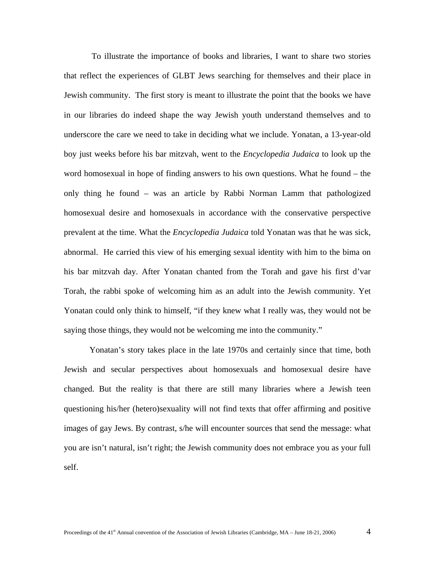To illustrate the importance of books and libraries, I want to share two stories that reflect the experiences of GLBT Jews searching for themselves and their place in Jewish community. The first story is meant to illustrate the point that the books we have in our libraries do indeed shape the way Jewish youth understand themselves and to underscore the care we need to take in deciding what we include. Yonatan, a 13-year-old boy just weeks before his bar mitzvah, went to the *Encyclopedia Judaica* to look up the word homosexual in hope of finding answers to his own questions. What he found – the only thing he found – was an article by Rabbi Norman Lamm that pathologized homosexual desire and homosexuals in accordance with the conservative perspective prevalent at the time. What the *Encyclopedia Judaica* told Yonatan was that he was sick, abnormal. He carried this view of his emerging sexual identity with him to the bima on his bar mitzvah day. After Yonatan chanted from the Torah and gave his first d'var Torah, the rabbi spoke of welcoming him as an adult into the Jewish community. Yet Yonatan could only think to himself, "if they knew what I really was, they would not be saying those things, they would not be welcoming me into the community."

Yonatan's story takes place in the late 1970s and certainly since that time, both Jewish and secular perspectives about homosexuals and homosexual desire have changed. But the reality is that there are still many libraries where a Jewish teen questioning his/her (hetero)sexuality will not find texts that offer affirming and positive images of gay Jews. By contrast, s/he will encounter sources that send the message: what you are isn't natural, isn't right; the Jewish community does not embrace you as your full self.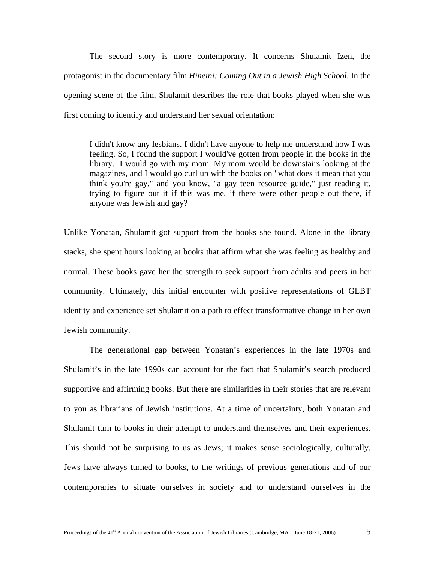The second story is more contemporary. It concerns Shulamit Izen, the protagonist in the documentary film *Hineini: Coming Out in a Jewish High School*. In the opening scene of the film, Shulamit describes the role that books played when she was first coming to identify and understand her sexual orientation:

I didn't know any lesbians. I didn't have anyone to help me understand how I was feeling. So, I found the support I would've gotten from people in the books in the library. I would go with my mom. My mom would be downstairs looking at the magazines, and I would go curl up with the books on "what does it mean that you think you're gay," and you know, "a gay teen resource guide," just reading it, trying to figure out it if this was me, if there were other people out there, if anyone was Jewish and gay?

Unlike Yonatan, Shulamit got support from the books she found. Alone in the library stacks, she spent hours looking at books that affirm what she was feeling as healthy and normal. These books gave her the strength to seek support from adults and peers in her community. Ultimately, this initial encounter with positive representations of GLBT identity and experience set Shulamit on a path to effect transformative change in her own Jewish community.

The generational gap between Yonatan's experiences in the late 1970s and Shulamit's in the late 1990s can account for the fact that Shulamit's search produced supportive and affirming books. But there are similarities in their stories that are relevant to you as librarians of Jewish institutions. At a time of uncertainty, both Yonatan and Shulamit turn to books in their attempt to understand themselves and their experiences. This should not be surprising to us as Jews; it makes sense sociologically, culturally. Jews have always turned to books, to the writings of previous generations and of our contemporaries to situate ourselves in society and to understand ourselves in the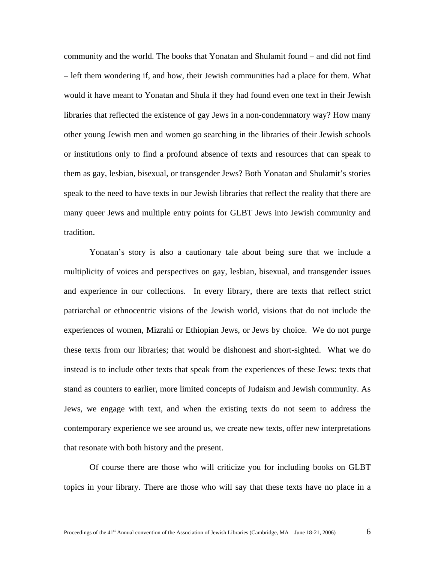community and the world. The books that Yonatan and Shulamit found – and did not find – left them wondering if, and how, their Jewish communities had a place for them. What would it have meant to Yonatan and Shula if they had found even one text in their Jewish libraries that reflected the existence of gay Jews in a non-condemnatory way? How many other young Jewish men and women go searching in the libraries of their Jewish schools or institutions only to find a profound absence of texts and resources that can speak to them as gay, lesbian, bisexual, or transgender Jews? Both Yonatan and Shulamit's stories speak to the need to have texts in our Jewish libraries that reflect the reality that there are many queer Jews and multiple entry points for GLBT Jews into Jewish community and tradition.

Yonatan's story is also a cautionary tale about being sure that we include a multiplicity of voices and perspectives on gay, lesbian, bisexual, and transgender issues and experience in our collections. In every library, there are texts that reflect strict patriarchal or ethnocentric visions of the Jewish world, visions that do not include the experiences of women, Mizrahi or Ethiopian Jews, or Jews by choice. We do not purge these texts from our libraries; that would be dishonest and short-sighted. What we do instead is to include other texts that speak from the experiences of these Jews: texts that stand as counters to earlier, more limited concepts of Judaism and Jewish community. As Jews, we engage with text, and when the existing texts do not seem to address the contemporary experience we see around us, we create new texts, offer new interpretations that resonate with both history and the present.

Of course there are those who will criticize you for including books on GLBT topics in your library. There are those who will say that these texts have no place in a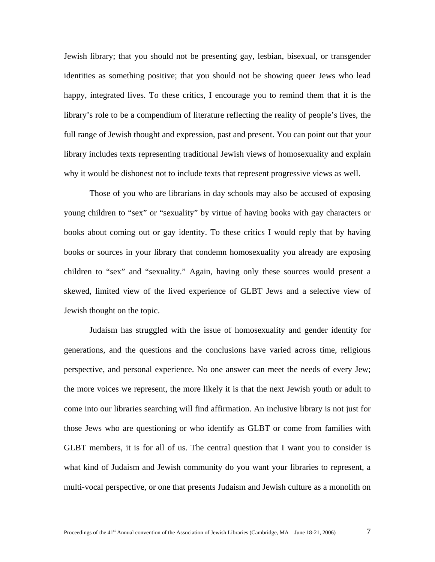Jewish library; that you should not be presenting gay, lesbian, bisexual, or transgender identities as something positive; that you should not be showing queer Jews who lead happy, integrated lives. To these critics, I encourage you to remind them that it is the library's role to be a compendium of literature reflecting the reality of people's lives, the full range of Jewish thought and expression, past and present. You can point out that your library includes texts representing traditional Jewish views of homosexuality and explain why it would be dishonest not to include texts that represent progressive views as well.

Those of you who are librarians in day schools may also be accused of exposing young children to "sex" or "sexuality" by virtue of having books with gay characters or books about coming out or gay identity. To these critics I would reply that by having books or sources in your library that condemn homosexuality you already are exposing children to "sex" and "sexuality." Again, having only these sources would present a skewed, limited view of the lived experience of GLBT Jews and a selective view of Jewish thought on the topic.

Judaism has struggled with the issue of homosexuality and gender identity for generations, and the questions and the conclusions have varied across time, religious perspective, and personal experience. No one answer can meet the needs of every Jew; the more voices we represent, the more likely it is that the next Jewish youth or adult to come into our libraries searching will find affirmation. An inclusive library is not just for those Jews who are questioning or who identify as GLBT or come from families with GLBT members, it is for all of us. The central question that I want you to consider is what kind of Judaism and Jewish community do you want your libraries to represent, a multi-vocal perspective, or one that presents Judaism and Jewish culture as a monolith on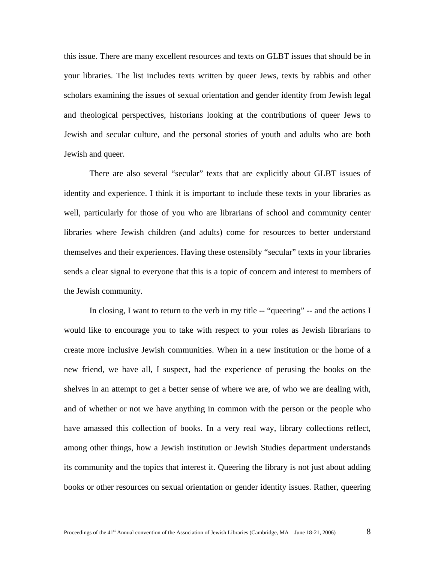this issue. There are many excellent resources and texts on GLBT issues that should be in your libraries. The list includes texts written by queer Jews, texts by rabbis and other scholars examining the issues of sexual orientation and gender identity from Jewish legal and theological perspectives, historians looking at the contributions of queer Jews to Jewish and secular culture, and the personal stories of youth and adults who are both Jewish and queer.

There are also several "secular" texts that are explicitly about GLBT issues of identity and experience. I think it is important to include these texts in your libraries as well, particularly for those of you who are librarians of school and community center libraries where Jewish children (and adults) come for resources to better understand themselves and their experiences. Having these ostensibly "secular" texts in your libraries sends a clear signal to everyone that this is a topic of concern and interest to members of the Jewish community.

In closing, I want to return to the verb in my title -- "queering" -- and the actions I would like to encourage you to take with respect to your roles as Jewish librarians to create more inclusive Jewish communities. When in a new institution or the home of a new friend, we have all, I suspect, had the experience of perusing the books on the shelves in an attempt to get a better sense of where we are, of who we are dealing with, and of whether or not we have anything in common with the person or the people who have amassed this collection of books. In a very real way, library collections reflect, among other things, how a Jewish institution or Jewish Studies department understands its community and the topics that interest it. Queering the library is not just about adding books or other resources on sexual orientation or gender identity issues. Rather, queering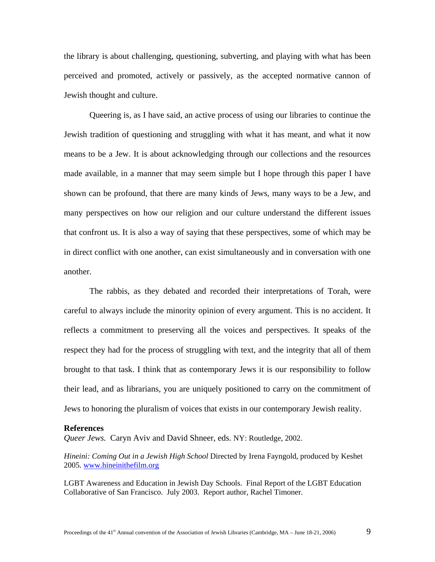the library is about challenging, questioning, subverting, and playing with what has been perceived and promoted, actively or passively, as the accepted normative cannon of Jewish thought and culture.

Queering is, as I have said, an active process of using our libraries to continue the Jewish tradition of questioning and struggling with what it has meant, and what it now means to be a Jew. It is about acknowledging through our collections and the resources made available, in a manner that may seem simple but I hope through this paper I have shown can be profound, that there are many kinds of Jews, many ways to be a Jew, and many perspectives on how our religion and our culture understand the different issues that confront us. It is also a way of saying that these perspectives, some of which may be in direct conflict with one another, can exist simultaneously and in conversation with one another.

The rabbis, as they debated and recorded their interpretations of Torah, were careful to always include the minority opinion of every argument. This is no accident. It reflects a commitment to preserving all the voices and perspectives. It speaks of the respect they had for the process of struggling with text, and the integrity that all of them brought to that task. I think that as contemporary Jews it is our responsibility to follow their lead, and as librarians, you are uniquely positioned to carry on the commitment of Jews to honoring the pluralism of voices that exists in our contemporary Jewish reality.

## **References**

*Queer Jews.* Caryn Aviv and David Shneer, eds. NY: Routledge, 2002.

*Hineini: Coming Out in a Jewish High School* Directed by Irena Fayngold, produced by Keshet 2005. [www.hineinithefilm.org](http://www.hineinithefilm.org/)

LGBT Awareness and Education in Jewish Day Schools. Final Report of the LGBT Education Collaborative of San Francisco. July 2003. Report author, Rachel Timoner.